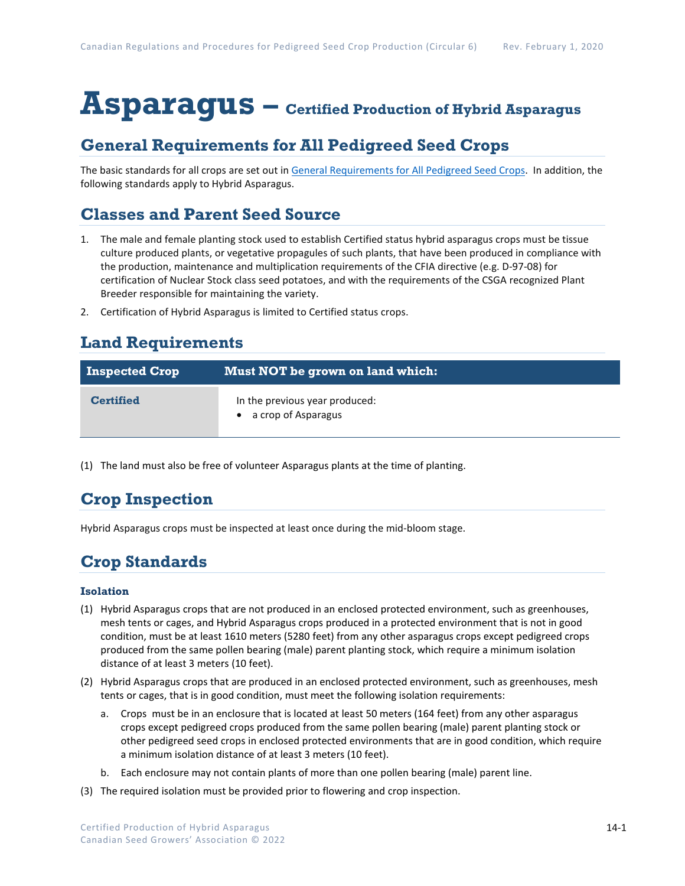# **Asparagus – Certified Production of Hybrid Asparagus**

## **General Requirements for All Pedigreed Seed Crops**

The basic standards for all crops are set out i[n General Requirements for All Pedigreed Seed](https://seedgrowers.ca/wp-content/uploads/2020/01/GENERAL-REQUIREMENTS-ALL-CROPS_EN.pdf) Crops. In addition, the following standards apply to Hybrid Asparagus.

## **Classes and Parent Seed Source**

- 1. The male and female planting stock used to establish Certified status hybrid asparagus crops must be tissue culture produced plants, or vegetative propagules of such plants, that have been produced in compliance with the production, maintenance and multiplication requirements of the CFIA directive (e.g. D-97-08) for certification of Nuclear Stock class seed potatoes, and with the requirements of the CSGA recognized Plant Breeder responsible for maintaining the variety.
- 2. Certification of Hybrid Asparagus is limited to Certified status crops.

## **Land Requirements**

| <b>Inspected Crop</b> | Must NOT be grown on land which:                        |
|-----------------------|---------------------------------------------------------|
| <b>Certified</b>      | In the previous year produced:<br>• a crop of Asparagus |

(1) The land must also be free of volunteer Asparagus plants at the time of planting.

# **Crop Inspection**

Hybrid Asparagus crops must be inspected at least once during the mid-bloom stage.

# **Crop Standards**

#### **Isolation**

- (1) Hybrid Asparagus crops that are not produced in an enclosed protected environment, such as greenhouses, mesh tents or cages, and Hybrid Asparagus crops produced in a protected environment that is not in good condition, must be at least 1610 meters (5280 feet) from any other asparagus crops except pedigreed crops produced from the same pollen bearing (male) parent planting stock, which require a minimum isolation distance of at least 3 meters (10 feet).
- (2) Hybrid Asparagus crops that are produced in an enclosed protected environment, such as greenhouses, mesh tents or cages, that is in good condition, must meet the following isolation requirements:
	- a. Crops must be in an enclosure that is located at least 50 meters (164 feet) from any other asparagus crops except pedigreed crops produced from the same pollen bearing (male) parent planting stock or other pedigreed seed crops in enclosed protected environments that are in good condition, which require a minimum isolation distance of at least 3 meters (10 feet).
	- b. Each enclosure may not contain plants of more than one pollen bearing (male) parent line.
- (3) The required isolation must be provided prior to flowering and crop inspection.